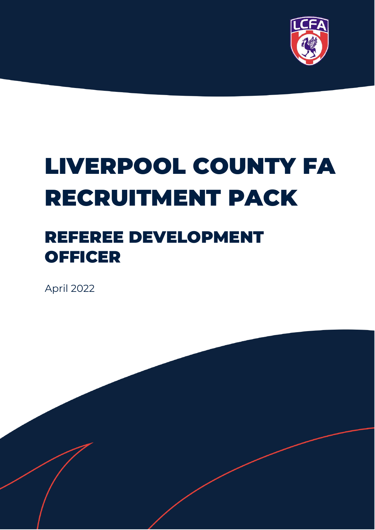

# LIVERPOOL COUNTY FA RECRUITMENT PACK

# REFEREE DEVELOPMENT **OFFICER**

April 2022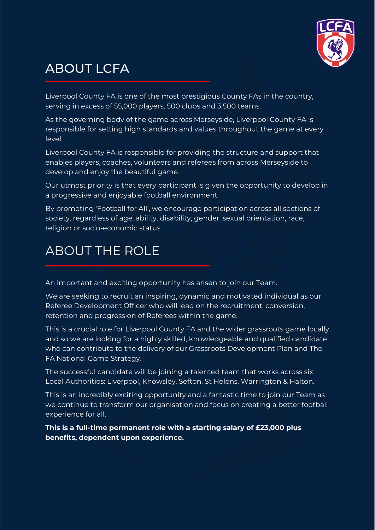

# ABOUT LCFA

Liverpool County FA is one of the most prestigious County FAs in the country, serving in excess of 55,000 players, 500 clubs and 3,500 teams.

As the governing body of the game across Merseyside, Liverpool County FA is responsible for setting high standards and values throughout the game at every level.

Liverpool County FA is responsible for providing the structure and support that enables players, coaches, volunteers and referees from across Merseyside to develop and enjoy the beautiful game.

Our utmost priority is that every participant is given the opportunity to develop in a progressive and enjoyable football environment.

By promoting 'Football for All', we encourage participation across all sections of society, regardless of age, ability, disability, gender, sexual orientation, race, religion or socio-economic status.

## ABOUT THE ROLE

An important and exciting opportunity has arisen to join our Team.

We are seeking to recruit an inspiring, dynamic and motivated individual as our Referee Development Officer who will lead on the recruitment, conversion, retention and progression of Referees within the game.

This is a crucial role for Liverpool County FA and the wider grassroots game locally and so we are looking for a highly skilled, knowledgeable and qualified candidate who can contribute to the delivery of our Grassroots Development Plan and The FA National Game Strategy.

The successful candidate will be joining a talented team that works across six Local Authorities: Liverpool, Knowsley, Sefton, St Helens, Warrington & Halton.

This is an incredibly exciting opportunity and a fantastic time to join our Team as we continue to transform our organisation and focus on creating a better football experience for all.

**This is a full-time permanent role with a starting salary of £23,000 plus benefits, dependent upon experience.**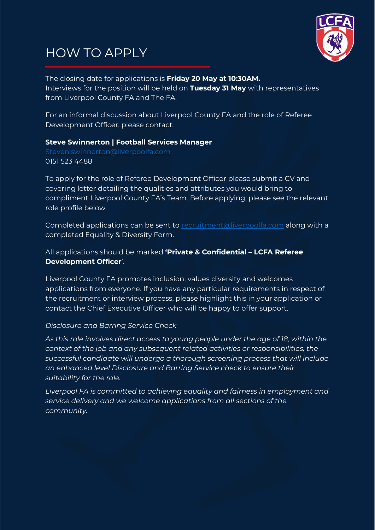### HOW TO APPLY



The closing date for applications is **Friday 20 May at 10:30AM.** Interviews for the position will be held on **Tuesday 31 May** with representatives from Liverpool County FA and The FA.

For an informal discussion about Liverpool County FA and the role of Referee Development Officer, please contact:

#### **Steve Swinnerton | Football Services Manager**

[Steven.swinnerton@liverpoolfa.com](mailto:Steven.swinnerton@liverpoolfa.com) 0151 523 4488

To apply for the role of Referee Development Officer please submit a CV and covering letter detailing the qualities and attributes you would bring to compliment Liverpool County FA's Team. Before applying, please see the relevant role profile below.

Completed applications can be sent to [recruitment@liverpoolfa.com](mailto:recruitment@liverpoolfa.com) along with a completed Equality & Diversity Form.

All applications should be marked **'Private & Confidential – LCFA Referee Development Officer**'.

Liverpool County FA promotes inclusion, values diversity and welcomes applications from everyone. If you have any particular requirements in respect of the recruitment or interview process, please highlight this in your application or contact the Chief Executive Officer who will be happy to offer support.

#### *Disclosure and Barring Service Check*

*As this role involves direct access to young people under the age of 18, within the context of the job and any subsequent related activities or responsibilities, the successful candidate will undergo a thorough screening process that will include an enhanced level Disclosure and Barring Service check to ensure their suitability for the role.* 

*Liverpool FA is committed to achieving equality and fairness in employment and service delivery and we welcome applications from all sections of the community.*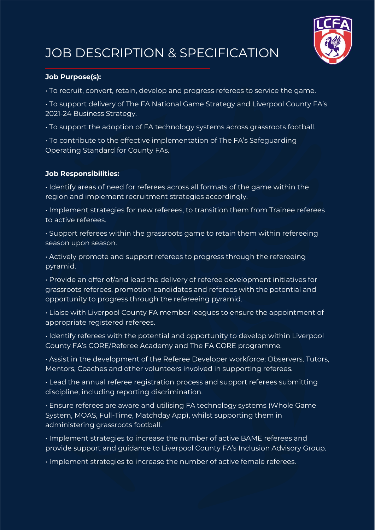

# JOB DESCRIPTION & SPECIFICATION

#### **Job Purpose(s):**

• To recruit, convert, retain, develop and progress referees to service the game.

- To support delivery of The FA National Game Strategy and Liverpool County FA's 2021-24 Business Strategy.
- To support the adoption of FA technology systems across grassroots football.
- To contribute to the effective implementation of The FA's Safeguarding Operating Standard for County FAs.

#### **Job Responsibilities:**

• Identify areas of need for referees across all formats of the game within the region and implement recruitment strategies accordingly.

• Implement strategies for new referees, to transition them from Trainee referees to active referees.

• Support referees within the grassroots game to retain them within refereeing season upon season.

• Actively promote and support referees to progress through the refereeing pyramid.

• Provide an offer of/and lead the delivery of referee development initiatives for grassroots referees, promotion candidates and referees with the potential and opportunity to progress through the refereeing pyramid.

• Liaise with Liverpool County FA member leagues to ensure the appointment of appropriate registered referees.

• Identify referees with the potential and opportunity to develop within Liverpool County FA's CORE/Referee Academy and The FA CORE programme.

• Assist in the development of the Referee Developer workforce; Observers, Tutors, Mentors, Coaches and other volunteers involved in supporting referees.

• Lead the annual referee registration process and support referees submitting discipline, including reporting discrimination.

• Ensure referees are aware and utilising FA technology systems (Whole Game System, MOAS, Full-Time, Matchday App), whilst supporting them in administering grassroots football.

• Implement strategies to increase the number of active BAME referees and provide support and guidance to Liverpool County FA's Inclusion Advisory Group.

• Implement strategies to increase the number of active female referees.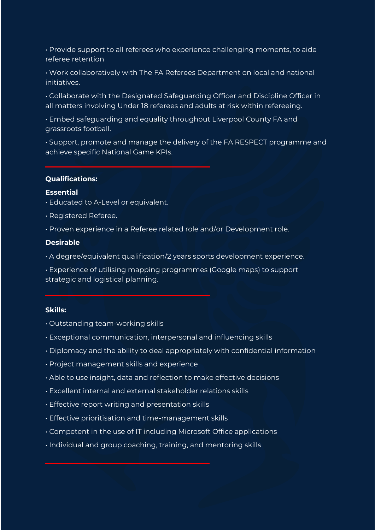• Provide support to all referees who experience challenging moments, to aide referee retention

• Work collaboratively with The FA Referees Department on local and national initiatives.

• Collaborate with the Designated Safeguarding Officer and Discipline Officer in all matters involving Under 18 referees and adults at risk within refereeing.

• Embed safeguarding and equality throughout Liverpool County FA and grassroots football.

• Support, promote and manage the delivery of the FA RESPECT programme and achieve specific National Game KPIs.

#### **Qualifications:**

#### **Essential**

- Educated to A-Level or equivalent.
- Registered Referee.
- Proven experience in a Referee related role and/or Development role.

#### **Desirable**

• A degree/equivalent qualification/2 years sports development experience.

• Experience of utilising mapping programmes (Google maps) to support strategic and logistical planning.

#### **Skills:**

- Outstanding team-working skills
- Exceptional communication, interpersonal and influencing skills
- Diplomacy and the ability to deal appropriately with confidential information
- Project management skills and experience
- Able to use insight, data and reflection to make effective decisions
- Excellent internal and external stakeholder relations skills
- Effective report writing and presentation skills
- Effective prioritisation and time-management skills
- Competent in the use of IT including Microsoft Office applications
- Individual and group coaching, training, and mentoring skills